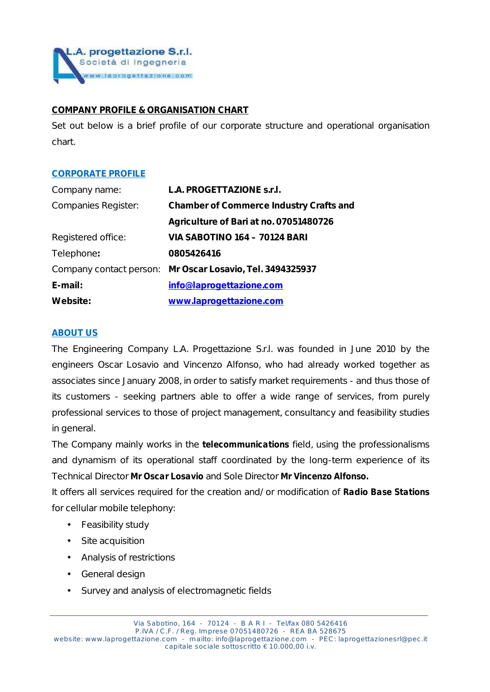

## **COMPANY PROFILE & ORGANISATION CHART**

Set out below is a brief profile of our corporate structure and operational organisation chart.

#### **CORPORATE PROFILE**

| Company name:           | L.A. PROGETTAZIONE s.r.I.                      |
|-------------------------|------------------------------------------------|
| Companies Register:     | <b>Chamber of Commerce Industry Crafts and</b> |
|                         | Agriculture of Bari at no. 07051480726         |
| Registered office:      | <b>VIA SABOTINO 164 - 70124 BARI</b>           |
| Telephone:              | 0805426416                                     |
| Company contact person: | Mr Oscar Losavio, Tel. 3494325937              |
| $E$ -mail:              | info@laprogettazione.com                       |
| Website:                | www.laprogettazione.com                        |

#### **ABOUT US**

The Engineering Company L.A. Progettazione S.r.l. was founded in June 2010 by the engineers Oscar Losavio and Vincenzo Alfonso, who had already worked together as associates since January 2008, in order to satisfy market requirements - and thus those of its customers - seeking partners able to offer a wide range of services, from purely professional services to those of project management, consultancy and feasibility studies in general.

The Company mainly works in the *telecommunications* field, using the professionalisms and dynamism of its operational staff coordinated by the long-term experience of its Technical Director *Mr Oscar Losavio* and Sole Director *Mr Vincenzo Alfonso.*

It offers all services required for the creation and/or modification of *Radio Base Stations* for cellular mobile telephony:

- Feasibility study  $\mathcal{L}^{\text{max}}$
- Site acquisition  $\mathbf{r}$
- Analysis of restrictions  $\mathbf{r}$
- General design
- Survey and analysis of electromagnetic fields $\mathbf{r}$

P.IVA / C.F. / Reg. Imprese 07051480726 - REA BA 528675 website: www.laprogettazione.com - mailto: info@laprogettazione.com - PEC: laprogettazionesrl@pec.it capitale sociale sottoscritto € 10.000,00 i.v.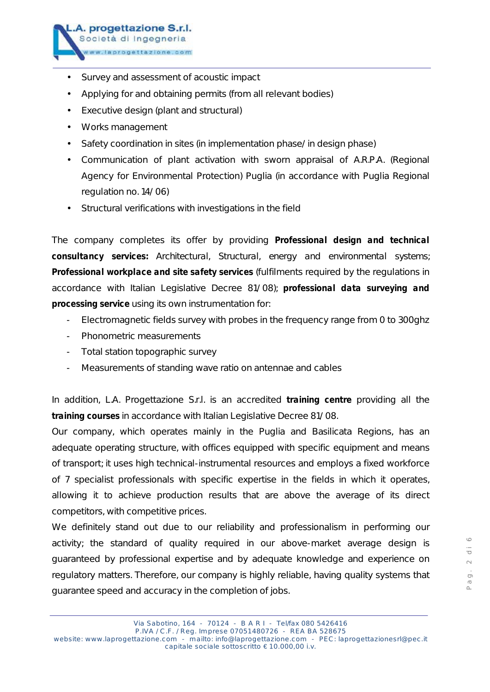

- Survey and assessment of acoustic impact
- Applying for and obtaining permits (from all relevant bodies)
- Executive design (plant and structural)
- Works management
- Safety coordination in sites (in implementation phase/in design phase)  $\mathbf{r}$
- Communication of plant activation with sworn appraisal of A.R.P.A. (Regional Agency for Environmental Protection) Puglia (in accordance with Puglia Regional regulation no. 14/06)
- Structural verifications with investigations in the field

The company completes its offer by providing *Professional design and technical consultancy services: Architectural, Structural, energy and environmental systems; Professional workplace and site safety services (*fulfilments required by the regulations in accordance with Italian Legislative Decree 81/08); *professional data surveying and processing service* using its own instrumentation for:

- Electromagnetic fields survey with probes in the frequency range from 0 to 300ghz
- Phonometric measurements
- Total station topographic survey
- Measurements of standing wave ratio on antennae and cables

In addition, L.A. Progettazione S.r.l. is an accredited *training centre* providing all the *training courses* in accordance with Italian Legislative Decree 81/08.

Our company, which operates mainly in the Puglia and Basilicata Regions, has an adequate operating structure, with offices equipped with specific equipment and means of transport; it uses high technical-instrumental resources and employs a fixed workforce of 7 specialist professionals with specific expertise in the fields in which it operates, allowing it to achieve production results that are above the average of its direct competitors, with competitive prices.

We definitely stand out due to our reliability and professionalism in performing our activity; the standard of quality required in our above-market average design is guaranteed by professional expertise and by adequate knowledge and experience on regulatory matters. Therefore, our company is highly reliable, having quality systems that guarantee speed and accuracy in the completion of jobs.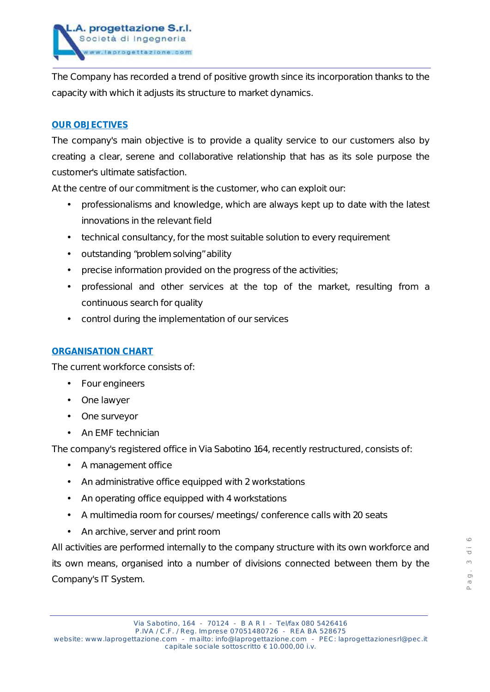The Company has recorded a trend of positive growth since its incorporation thanks to the capacity with which it adjusts its structure to market dynamics.

#### **OUR OBJECTIVES**

.A. progettazione S.r.I. Società di Ingegneria www.laprogettazione.com

The company's main objective is to provide a quality service to our customers also by creating a clear, serene and collaborative relationship that has as its sole purpose the customer's ultimate satisfaction.

At the centre of our commitment is the customer, who can exploit our:

- professionalisms and knowledge, which are always kept up to date with the latest  $\sim$ innovations in the relevant field
- technical consultancy, for the most suitable solution to every requirement
- outstanding "*problem solving"* ability  $\mathbf{r}$
- precise information provided on the progress of the activities;
- professional and other services at the top of the market, resulting from a continuous search for quality
- control during the implementation of our services  $\mathbf{r}$

### **ORGANISATION CHART**

The current workforce consists of:

- $\mathcal{L}^{\mathcal{A}}$ Four engineers
- One lawyer
- One surveyor  $\mathbf{r}$  .
- An EMF technician

The company's registered office in Via Sabotino 164, recently restructured, consists of:

- A management office  $\mathbf{r}$
- An administrative office equipped with 2 workstations
- An operating office equipped with 4 workstations  $\mathbf{r}$
- A multimedia room for courses/meetings/conference calls with 20 seats
- An archive, server and print room  $\sim$

All activities are performed internally to the company structure with its own workforce and its own means, organised into a number of divisions connected between them by the Company's IT System.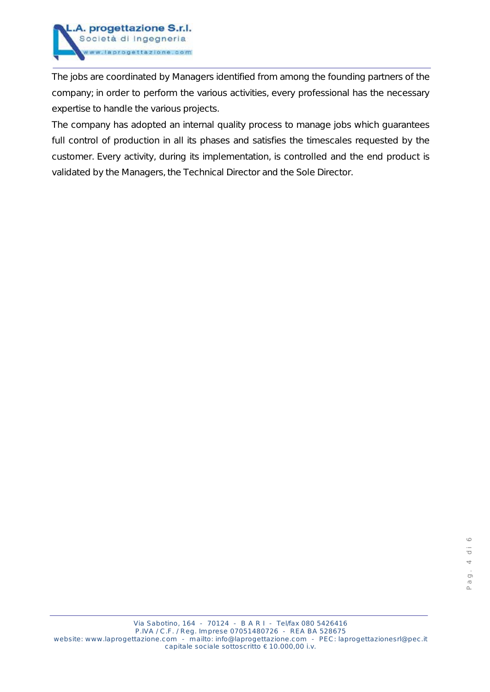

The jobs are coordinated by Managers identified from among the founding partners of the company; in order to perform the various activities, every professional has the necessary expertise to handle the various projects.

The company has adopted an internal quality process to manage jobs which guarantees full control of production in all its phases and satisfies the timescales requested by the customer. Every activity, during its implementation, is controlled and the end product is validated by the Managers, the Technical Director and the Sole Director.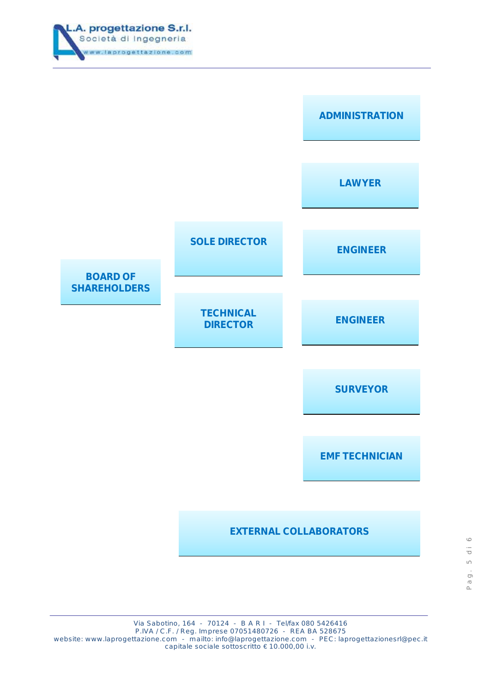



# **EXTERNAL COLLABORATORS**

 $\circ$ 

Via Sabotino, 164 - 70124 - B A R I - Tel/fax 080 5426416 P.IVA / C.F. / Reg. Imprese 07051480726 - REA BA 528675 website: www.laprogettazione.com - mailto: info@laprogettazione.com - PEC: laprogettazionesrl@pec.it capitale sociale sottoscritto € 10.000,00 i.v.